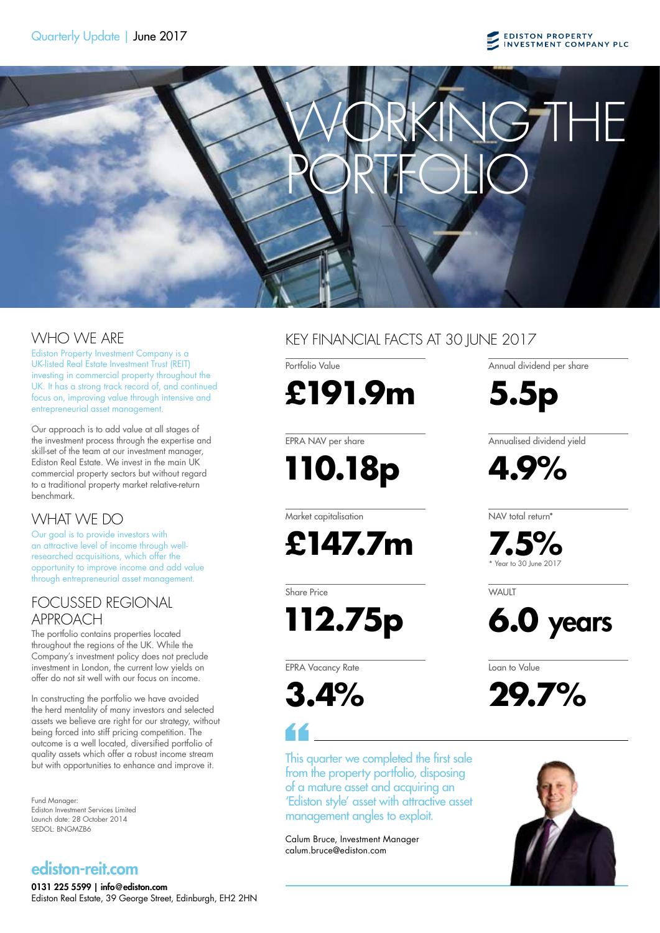

Ediston Property Investment Company is a UK-listed Real Estate Investment Trust (REIT) investing in commercial property throughout the UK. It has a strong track record of, and continued focus on, improving value through intensive and entrepreneurial asset management.

Our approach is to add value at all stages of the investment process through the expertise and skill-set of the team at our investment manager, Ediston Real Estate. We invest in the main UK commercial property sectors but without regard to a traditional property market relative-return benchmark.

# WHAT WE DO

Our goal is to provide investors with an attractive level of income through wellresearched acquisitions, which offer the opportunity to improve income and add value through entrepreneurial asset management.

### FOCUSSED REGIONAL APPROACH

The portfolio contains properties located throughout the regions of the UK. While the Company's investment policy does not preclude investment in London, the current low yields on offer do not sit well with our focus on income.

In constructing the portfolio we have avoided the herd mentality of many investors and selected assets we believe are right for our strategy, without being forced into stiff pricing competition. The outcome is a well located, diversified portfolio of quality assets which offer a robust income stream but with opportunities to enhance and improve it.

Fund Manager: Ediston Investment Services Limited Launch date: 28 October 2014 SEDOL: BNGMZB6

# ediston-reit.com

0131 225 5599 | info@ediston.com Ediston Real Estate, 39 George Street, Edinburgh, EH2 2HN

# WHO WE ARE KEY FINANCIAL FACTS AT 30 JUNE 2017

Portfolio Value **£191.9m**

**5.5p**

EPRA NAV per share

 **110.18p**

Market capitalisation

**£147.7m**

Share Price

 **112.75p**

EPRA Vacancy Rate

**3.4%**

This quarter we completed the first sale from the property portfolio, disposing of a mature asset and acquiring an 'Ediston style' asset with attractive asset management angles to exploit.

Calum Bruce, Investment Manager calum.bruce@ediston.com

Annualised dividend yield

Annual dividend per share

**4.9%**

NAV total return\*

**7.5%** \* Year to 30 June 2017

WAI IIT



Loan to Value

**29.7%**